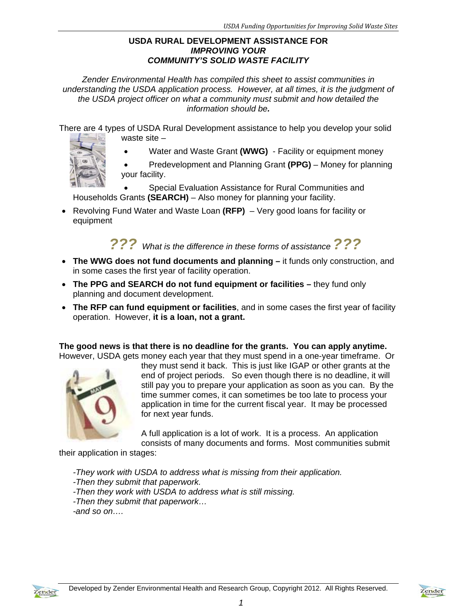### **USDA RURAL DEVELOPMENT ASSISTANCE FOR**  *IMPROVING YOUR COMMUNITY'S SOLID WASTE FACILITY*

*Zender Environmental Health has compiled this sheet to assist communities in understanding the USDA application process. However, at all times, it is the judgment of the USDA project officer on what a community must submit and how detailed the information should be.* 

There are 4 types of USDA Rural Development assistance to help you develop your solid waste site –

Water and Waste Grant **(WWG)** - Facility or equipment money



 Special Evaluation Assistance for Rural Communities and Households Grants **(SEARCH)** – Also money for planning your facility.

 Revolving Fund Water and Waste Loan **(RFP)** – Very good loans for facility or equipment

# *??? What is the difference in these forms of assistance ???*

- **The WWG does not fund documents and planning** it funds only construction, and in some cases the first year of facility operation.
- **The PPG and SEARCH do not fund equipment or facilities** they fund only planning and document development.
- **The RFP can fund equipment or facilities**, and in some cases the first year of facility operation. However, **it is a loan, not a grant.**

**The good news is that there is no deadline for the grants. You can apply anytime.**  However, USDA gets money each year that they must spend in a one-year timeframe. Or



they must send it back. This is just like IGAP or other grants at the end of project periods. So even though there is no deadline, it will still pay you to prepare your application as soon as you can. By the time summer comes, it can sometimes be too late to process your application in time for the current fiscal year. It may be processed for next year funds.

A full application is a lot of work. It is a process. An application consists of many documents and forms. Most communities submit

their application in stages:

*-They work with USDA to address what is missing from their application.* 

- *-Then they submit that paperwork.*
- *-Then they work with USDA to address what is still missing.*
- *-Then they submit that paperwork…*

*-and so on….* 



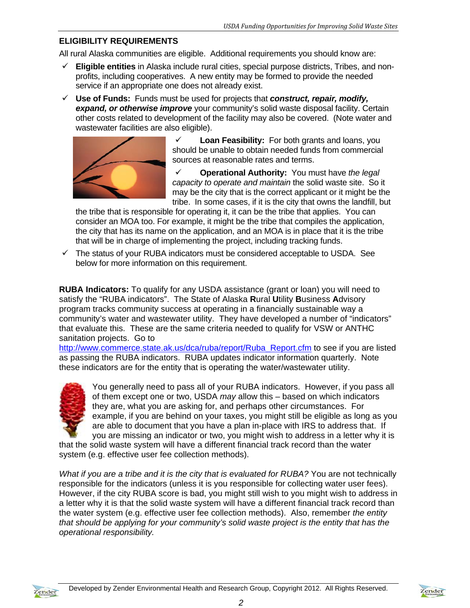## **ELIGIBILITY REQUIREMENTS**

All rural Alaska communities are eligible. Additional requirements you should know are:

- **Eligible entities** in Alaska include rural cities, special purpose districts, Tribes, and nonprofits, including cooperatives. A new entity may be formed to provide the needed service if an appropriate one does not already exist.
- **Use of Funds:** Funds must be used for projects that *construct, repair, modify, expand, or otherwise improve* your community's solid waste disposal facility. Certain other costs related to development of the facility may also be covered. (Note water and wastewater facilities are also eligible).



 **Loan Feasibility:** For both grants and loans, you should be unable to obtain needed funds from commercial sources at reasonable rates and terms.

 **Operational Authority:** You must have *the legal capacity to operate and maintain* the solid waste site. So it may be the city that is the correct applicant or it might be the tribe. In some cases, if it is the city that owns the landfill, but

the tribe that is responsible for operating it, it can be the tribe that applies. You can consider an MOA too. For example, it might be the tribe that compiles the application, the city that has its name on the application, and an MOA is in place that it is the tribe that will be in charge of implementing the project, including tracking funds.

 $\checkmark$  The status of your RUBA indicators must be considered acceptable to USDA. See below for more information on this requirement.

**RUBA Indicators:** To qualify for any USDA assistance (grant or loan) you will need to satisfy the "RUBA indicators". The State of Alaska **R**ural **U**tility **B**usiness **A**dvisory program tracks community success at operating in a financially sustainable way a community's water and wastewater utility. They have developed a number of "indicators" that evaluate this. These are the same criteria needed to qualify for VSW or ANTHC sanitation projects. Go to

http://www.commerce.state.ak.us/dca/ruba/report/Ruba\_Report.cfm to see if you are listed as passing the RUBA indicators. RUBA updates indicator information quarterly. Note these indicators are for the entity that is operating the water/wastewater utility.



You generally need to pass all of your RUBA indicators. However, if you pass all of them except one or two, USDA *may* allow this – based on which indicators they are, what you are asking for, and perhaps other circumstances. For example, if you are behind on your taxes, you might still be eligible as long as you are able to document that you have a plan in-place with IRS to address that. If you are missing an indicator or two, you might wish to address in a letter why it is

that the solid waste system will have a different financial track record than the water system (e.g. effective user fee collection methods).

*What if you are a tribe and it is the city that is evaluated for RUBA?* You are not technically responsible for the indicators (unless it is you responsible for collecting water user fees). However, if the city RUBA score is bad, you might still wish to you might wish to address in a letter why it is that the solid waste system will have a different financial track record than the water system (e.g. effective user fee collection methods). Also, remember *the entity that should be applying for your community's solid waste project is the entity that has the operational responsibility.* 

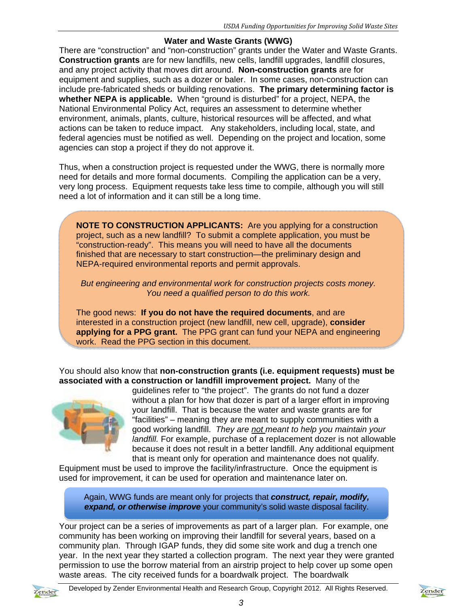#### **Water and Waste Grants (WWG)**

There are "construction" and "non-construction" grants under the Water and Waste Grants. **Construction grants** are for new landfills, new cells, landfill upgrades, landfill closures, and any project activity that moves dirt around. **Non-construction grants** are for equipment and supplies, such as a dozer or baler. In some cases, non-construction can include pre-fabricated sheds or building renovations. **The primary determining factor is whether NEPA is applicable.** When "ground is disturbed" for a project, NEPA, the National Environmental Policy Act, requires an assessment to determine whether environment, animals, plants, culture, historical resources will be affected, and what actions can be taken to reduce impact. Any stakeholders, including local, state, and federal agencies must be notified as well. Depending on the project and location, some agencies can stop a project if they do not approve it.

Thus, when a construction project is requested under the WWG, there is normally more need for details and more formal documents. Compiling the application can be a very, very long process. Equipment requests take less time to compile, although you will still need a lot of information and it can still be a long time.

**NOTE TO CONSTRUCTION APPLICANTS:** Are you applying for a construction project, such as a new landfill? To submit a complete application, you must be "construction-ready". This means you will need to have all the documents finished that are necessary to start construction—the preliminary design and NEPA-required environmental reports and permit approvals.

*But engineering and environmental work for construction projects costs money. You need a qualified person to do this work.* 

The good news: **If you do not have the required documents**, and are interested in a construction project (new landfill, new cell, upgrade), **consider applying for a PPG grant.** The PPG grant can fund your NEPA and engineering work. Read the PPG section in this document.

You should also know that **non-construction grants (i.e. equipment requests) must be associated with a construction or landfill improvement project.** Many of the



guidelines refer to "the project". The grants do not fund a dozer without a plan for how that dozer is part of a larger effort in improving your landfill. That is because the water and waste grants are for "facilities" – meaning they are meant to supply communities with a good working landfill. *They are not meant to help you maintain your landfill.* For example, purchase of a replacement dozer is not allowable because it does not result in a better landfill. Any additional equipment that is meant only for operation and maintenance does not qualify.

Equipment must be used to improve the facility/infrastructure. Once the equipment is used for improvement, it can be used for operation and maintenance later on.

Again, WWG funds are meant only for projects that *construct, repair, modify, expand, or otherwise improve* your community's solid waste disposal facility.

Your project can be a series of improvements as part of a larger plan. For example, one community has been working on improving their landfill for several years, based on a community plan. Through IGAP funds, they did some site work and dug a trench one year. In the next year they started a collection program. The next year they were granted permission to use the borrow material from an airstrip project to help cover up some open waste areas. The city received funds for a boardwalk project. The boardwalk



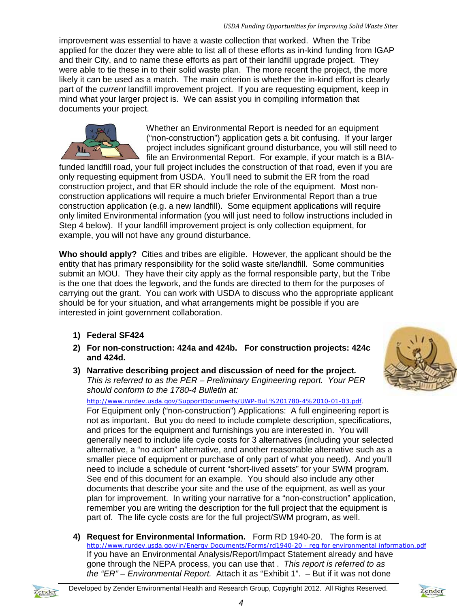improvement was essential to have a waste collection that worked. When the Tribe applied for the dozer they were able to list all of these efforts as in-kind funding from IGAP and their City, and to name these efforts as part of their landfill upgrade project. They were able to tie these in to their solid waste plan. The more recent the project, the more likely it can be used as a match. The main criterion is whether the in-kind effort is clearly part of the *current* landfill improvement project. If you are requesting equipment, keep in mind what your larger project is. We can assist you in compiling information that documents your project.



Whether an Environmental Report is needed for an equipment ("non-construction") application gets a bit confusing. If your larger project includes significant ground disturbance, you will still need to file an Environmental Report. For example, if your match is a BIA-

funded landfill road, your full project includes the construction of that road, even if you are only requesting equipment from USDA. You'll need to submit the ER from the road construction project, and that ER should include the role of the equipment. Most nonconstruction applications will require a much briefer Environmental Report than a true construction application (e.g. a new landfill). Some equipment applications will require only limited Environmental information (you will just need to follow instructions included in Step 4 below). If your landfill improvement project is only collection equipment, for example, you will not have any ground disturbance.

**Who should apply?** Cities and tribes are eligible. However, the applicant should be the entity that has primary responsibility for the solid waste site/landfill. Some communities submit an MOU. They have their city apply as the formal responsible party, but the Tribe is the one that does the legwork, and the funds are directed to them for the purposes of carrying out the grant. You can work with USDA to discuss who the appropriate applicant should be for your situation, and what arrangements might be possible if you are interested in joint government collaboration.

- **1) Federal SF424**
- **2) For non-construction: 424a and 424b. For construction projects: 424c and 424d.**
- **3) Narrative describing project and discussion of need for the project***. This is referred to as the PER – Preliminary Engineering report. Your PER should conform to the 1780-4 Bulletin at:*

http://www.rurdev.usda.gov/SupportDocuments/UWP-Bul.%201780-4%2010-01-03.pdf.

For Equipment only ("non-construction") Applications: A full engineering report is not as important. But you do need to include complete description, specifications, and prices for the equipment and furnishings you are interested in. You will generally need to include life cycle costs for 3 alternatives (including your selected alternative, a "no action" alternative, and another reasonable alternative such as a smaller piece of equipment or purchase of only part of what you need). And you'll need to include a schedule of current "short-lived assets" for your SWM program. See end of this document for an example. You should also include any other documents that describe your site and the use of the equipment, as well as your plan for improvement. In writing your narrative for a "non-construction" application, remember you are writing the description for the full project that the equipment is part of. The life cycle costs are for the full project/SWM program, as well.

**4) Request for Environmental Information.** Form RD 1940-20. The form is at http://www.rurdev.usda.gov/in/Energy Documents/Forms/rd1940-20 - req for environmental information.pdf If you have an Environmental Analysis/Report/Impact Statement already and have gone through the NEPA process, you can use that . *This report is referred to as the "ER" – Environmental Report.* Attach it as "Exhibit 1". – But if it was not done





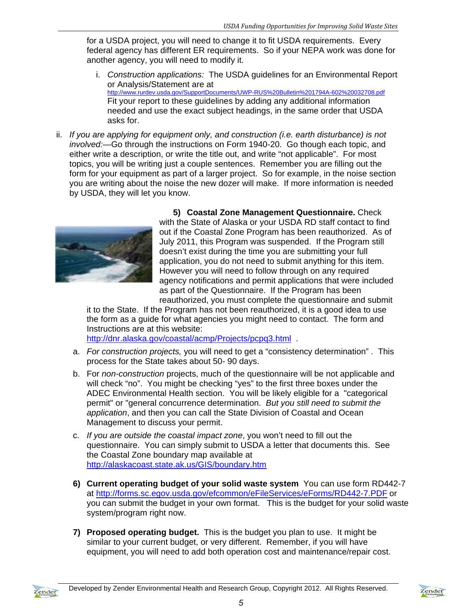for a USDA project, you will need to change it to fit USDA requirements. Every federal agency has different ER requirements. So if your NEPA work was done for another agency, you will need to modify it.

- i. *Construction applications:* The USDA guidelines for an Environmental Report or Analysis/Statement are at http://www.rurdev.usda.gov/SupportDocuments/UWP-RUS%20Bulletin%201794A-602%20032708.pdf Fit your report to these guidelines by adding any additional information needed and use the exact subject headings, in the same order that USDA asks for.
- ii. *If you are applying for equipment only, and construction (i.e. earth disturbance) is not involved:—*Go through the instructions on Form 1940-20. Go though each topic, and either write a description, or write the title out, and write "not applicable". For most topics, you will be writing just a couple sentences. Remember you are filling out the form for your equipment as part of a larger project. So for example, in the noise section you are writing about the noise the new dozer will make. If more information is needed by USDA, they will let you know.



**5) Coastal Zone Management Questionnaire.** Check with the State of Alaska or your USDA RD staff contact to find out if the Coastal Zone Program has been reauthorized. As of July 2011, this Program was suspended. If the Program still doesn't exist during the time you are submitting your full application, you do not need to submit anything for this item. However you will need to follow through on any required agency notifications and permit applications that were included as part of the Questionnaire. If the Program has been reauthorized, you must complete the questionnaire and submit

it to the State. If the Program has not been reauthorized, it is a good idea to use the form as a guide for what agencies you might need to contact. The form and Instructions are at this website:

http://dnr.alaska.gov/coastal/acmp/Projects/pcpg3.html .

- a. *For construction projects,* you will need to get a "consistency determination" . This process for the State takes about 50- 90 days.
- b. For *non-construction* projects, much of the questionnaire will be not applicable and will check "no". You might be checking "yes" to the first three boxes under the ADEC Environmental Health section. You will be likely eligible for a "categorical permit" or "general concurrence determination. *But you still need to submit the application*, and then you can call the State Division of Coastal and Ocean Management to discuss your permit.
- c. *If you are outside the coastal impact zone*, you won't need to fill out the questionnaire. You can simply submit to USDA a letter that documents this. See the Coastal Zone boundary map available at http://alaskacoast.state.ak.us/GIS/boundary.htm
- **6) Current operating budget of your solid waste system** You can use form RD442-7 at http://forms.sc.egov.usda.gov/efcommon/eFileServices/eForms/RD442-7.PDF or you can submit the budget in your own format. This is the budget for your solid waste system/program right now.
- **7) Proposed operating budget.** This is the budget you plan to use. It might be similar to your current budget, or very different. Remember, if you will have equipment, you will need to add both operation cost and maintenance/repair cost.

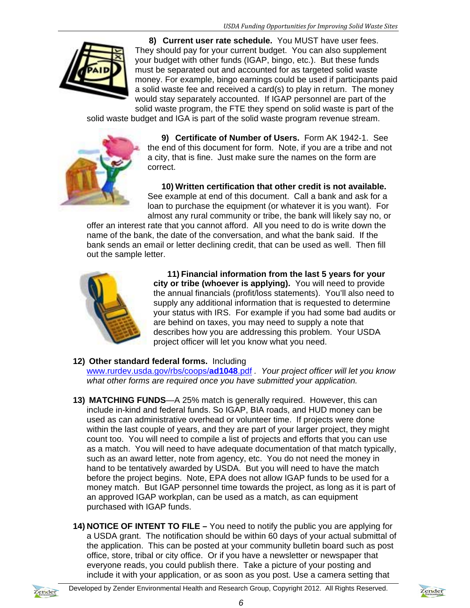

**8) Current user rate schedule.** You MUST have user fees. They should pay for your current budget. You can also supplement your budget with other funds (IGAP, bingo, etc.). But these funds must be separated out and accounted for as targeted solid waste money. For example, bingo earnings could be used if participants paid a solid waste fee and received a card(s) to play in return. The money would stay separately accounted. If IGAP personnel are part of the solid waste program, the FTE they spend on solid waste is part of the

solid waste budget and IGA is part of the solid waste program revenue stream.



**9) Certificate of Number of Users.** Form AK 1942-1. See the end of this document for form.Note, if you are a tribe and not a city, that is fine. Just make sure the names on the form are correct.

**10) Written certification that other credit is not available.** See example at end of this document. Call a bank and ask for a loan to purchase the equipment (or whatever it is you want). For almost any rural community or tribe, the bank will likely say no, or

offer an interest rate that you cannot afford. All you need to do is write down the name of the bank, the date of the conversation, and what the bank said. If the bank sends an email or letter declining credit, that can be used as well. Then fill out the sample letter.



**11) Financial information from the last 5 years for your city or tribe (whoever is applying).** You will need to provide the annual financials (profit/loss statements). You'll also need to supply any additional information that is requested to determine your status with IRS. For example if you had some bad audits or are behind on taxes, you may need to supply a note that describes how you are addressing this problem. Your USDA project officer will let you know what you need.

## **12) Other standard federal forms.** Including

www.rurdev.usda.gov/rbs/coops/**ad1048**.pdf *. Your project officer will let you know what other forms are required once you have submitted your application.*

- **13) MATCHING FUNDS**—A 25% match is generally required. However, this can include in-kind and federal funds. So IGAP, BIA roads, and HUD money can be used as can administrative overhead or volunteer time. If projects were done within the last couple of years, and they are part of your larger project, they might count too. You will need to compile a list of projects and efforts that you can use as a match. You will need to have adequate documentation of that match typically, such as an award letter, note from agency, etc. You do not need the money in hand to be tentatively awarded by USDA. But you will need to have the match before the project begins. Note, EPA does not allow IGAP funds to be used for a money match. But IGAP personnel time towards the project, as long as it is part of an approved IGAP workplan, can be used as a match, as can equipment purchased with IGAP funds.
- **14) NOTICE OF INTENT TO FILE** You need to notify the public you are applying for a USDA grant. The notification should be within 60 days of your actual submittal of the application. This can be posted at your community bulletin board such as post office, store, tribal or city office. Or if you have a newsletter or newspaper that everyone reads, you could publish there. Take a picture of your posting and include it with your application, or as soon as you post. Use a camera setting that



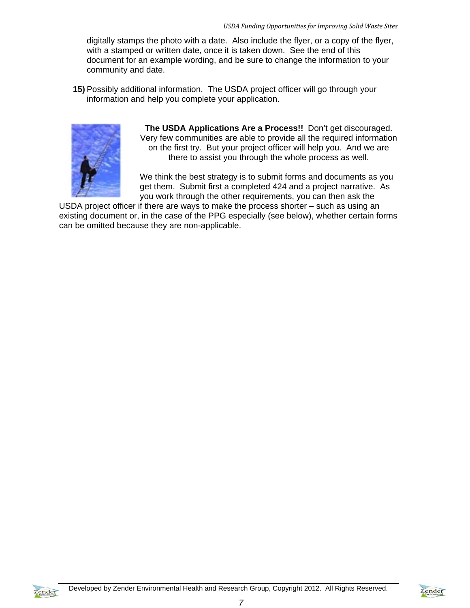digitally stamps the photo with a date. Also include the flyer, or a copy of the flyer, with a stamped or written date, once it is taken down. See the end of this document for an example wording, and be sure to change the information to your community and date.

**15)** Possibly additional information. The USDA project officer will go through your information and help you complete your application.



**The USDA Applications Are a Process!!** Don't get discouraged. Very few communities are able to provide all the required information on the first try. But your project officer will help you. And we are there to assist you through the whole process as well.

We think the best strategy is to submit forms and documents as you get them. Submit first a completed 424 and a project narrative. As you work through the other requirements, you can then ask the

USDA project officer if there are ways to make the process shorter – such as using an existing document or, in the case of the PPG especially (see below), whether certain forms can be omitted because they are non-applicable.



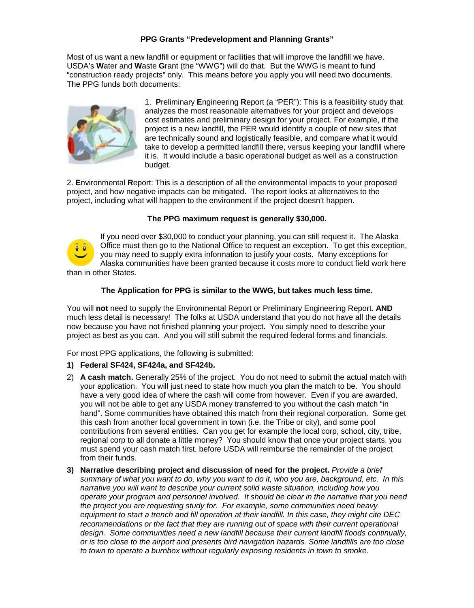#### **PPG Grants "Predevelopment and Planning Grants"**

Most of us want a new landfill or equipment or facilities that will improve the landfill we have. USDA's **W**ater and **W**aste **G**rant (the "WWG") will do that. But the WWG is meant to fund "construction ready projects" only. This means before you apply you will need two documents. The PPG funds both documents:



1. **P**reliminary **E**ngineering **R**eport (a "PER"): This is a feasibility study that analyzes the most reasonable alternatives for your project and develops cost estimates and preliminary design for your project. For example, if the project is a new landfill, the PER would identify a couple of new sites that are technically sound and logistically feasible, and compare what it would take to develop a permitted landfill there, versus keeping your landfill where it is. It would include a basic operational budget as well as a construction budget.

2. **E**nvironmental **R**eport: This is a description of all the environmental impacts to your proposed project, and how negative impacts can be mitigated. The report looks at alternatives to the project, including what will happen to the environment if the project doesn't happen.

#### **The PPG maximum request is generally \$30,000.**



If you need over \$30,000 to conduct your planning, you can still request it. The Alaska Office must then go to the National Office to request an exception. To get this exception, you may need to supply extra information to justify your costs. Many exceptions for Alaska communities have been granted because it costs more to conduct field work here than in other States.

#### **The Application for PPG is similar to the WWG, but takes much less time.**

You will **not** need to supply the Environmental Report or Preliminary Engineering Report. **AND** much less detail is necessary! The folks at USDA understand that you do not have all the details now because you have not finished planning your project. You simply need to describe your project as best as you can. And you will still submit the required federal forms and financials.

For most PPG applications, the following is submitted:

#### **1) Federal SF424, SF424a, and SF424b.**

- 2) **A cash match.** Generally 25% of the project. You do not need to submit the actual match with your application. You will just need to state how much you plan the match to be. You should have a very good idea of where the cash will come from however. Even if you are awarded, you will not be able to get any USDA money transferred to you without the cash match "in hand". Some communities have obtained this match from their regional corporation. Some get this cash from another local government in town (i.e. the Tribe or city), and some pool contributions from several entities. Can you get for example the local corp, school, city, tribe, regional corp to all donate a little money? You should know that once your project starts, you must spend your cash match first, before USDA will reimburse the remainder of the project from their funds.
- **3) Narrative describing project and discussion of need for the project.** *Provide a brief summary of what you want to do, why you want to do it, who you are, background, etc. In this narrative you will want to describe your current solid waste situation, including how you operate your program and personnel involved. It should be clear in the narrative that you need the project you are requesting study for. For example, some communities need heavy equipment to start a trench and fill operation at their landfill. In this case, they might cite DEC recommendations or the fact that they are running out of space with their current operational design. Some communities need a new landfill because their current landfill floods continually, or is too close to the airport and presents bird navigation hazards. Some landfills are too close to town to operate a burnbox without regularly exposing residents in town to smoke.*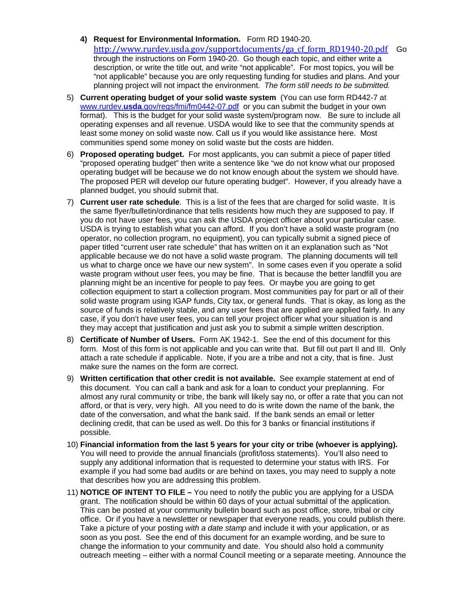- **4) Request for Environmental Information.** Form RD 1940-20. [http://www.rurdev.usda.gov/supportdocuments/ga\\_cf\\_form\\_RD1940-20.pdf](http://www.rurdev.usda.gov/supportdocuments/ga_cf_form_RD1940-20.pdf)Go through the instructions on Form 1940-20. Go though each topic, and either write a description, or write the title out, and write "not applicable". For most topics, you will be "not applicable" because you are only requesting funding for studies and plans. And your planning project will not impact the environment. *The form still needs to be submitted.*
- 5) **Current operating budget of your solid waste system** (You can use form RD442-7 at www.rurdev.**usda**[.gov/regs/fmi/fm0442-07.pdf](http://www.rurdev.usda.gov/regs/fmi/fm0442-07.pdf) or you can submit the budget in your own format). This is the budget for your solid waste system/program now. Be sure to include all operating expenses and all revenue. USDA would like to see that the community spends at least some money on solid waste now. Call us if you would like assistance here. Most communities spend some money on solid waste but the costs are hidden.
- 6) **Proposed operating budget.** For most applicants, you can submit a piece of paper titled "proposed operating budget" then write a sentence like "we do not know what our proposed operating budget will be because we do not know enough about the system we should have. The proposed PER will develop our future operating budget". However, if you already have a planned budget, you should submit that.
- 7) **Current user rate schedule**. This is a list of the fees that are charged for solid waste. It is the same flyer/bulletin/ordinance that tells residents how much they are supposed to pay. If you do not have user fees, you can ask the USDA project officer about your particular case. USDA is trying to establish what you can afford. If you don't have a solid waste program (no operator, no collection program, no equipment), you can typically submit a signed piece of paper titled "current user rate schedule" that has written on it an explanation such as "Not applicable because we do not have a solid waste program. The planning documents will tell us what to charge once we have our new system". In some cases even if you operate a solid waste program without user fees, you may be fine. That is because the better landfill you are planning might be an incentive for people to pay fees. Or maybe you are going to get collection equipment to start a collection program. Most communities pay for part or all of their solid waste program using IGAP funds, City tax, or general funds. That is okay, as long as the source of funds is relatively stable, and any user fees that are applied are applied fairly. In any case, if you don't have user fees, you can tell your project officer what your situation is and they may accept that justification and just ask you to submit a simple written description.
- 8) **Certificate of Number of Users.** Form AK 1942-1. See the end of this document for this form. Most of this form is not applicable and you can write that. But fill out part II and III. Only attach a rate schedule if applicable. Note, if you are a tribe and not a city, that is fine. Just make sure the names on the form are correct.
- 9) **Written certification that other credit is not available.** See example statement at end of this document. You can call a bank and ask for a loan to conduct your preplanning. For almost any rural community or tribe, the bank will likely say no, or offer a rate that you can not afford, or that is very, very high. All you need to do is write down the name of the bank, the date of the conversation, and what the bank said. If the bank sends an email or letter declining credit, that can be used as well. Do this for 3 banks or financial institutions if possible.
- 10) **Financial information from the last 5 years for your city or tribe (whoever is applying).** You will need to provide the annual financials (profit/loss statements). You'll also need to supply any additional information that is requested to determine your status with IRS. For example if you had some bad audits or are behind on taxes, you may need to supply a note that describes how you are addressing this problem.
- 11) **NOTICE OF INTENT TO FILE –** You need to notify the public you are applying for a USDA grant. The notification should be within 60 days of your actual submittal of the application. This can be posted at your community bulletin board such as post office, store, tribal or city office. Or if you have a newsletter or newspaper that everyone reads, you could publish there. Take a picture of your posting *with a date stamp* and include it with your application, or as soon as you post. See the end of this document for an example wording, and be sure to change the information to your community and date. You should also hold a community outreach meeting – either with a normal Council meeting or a separate meeting. Announce the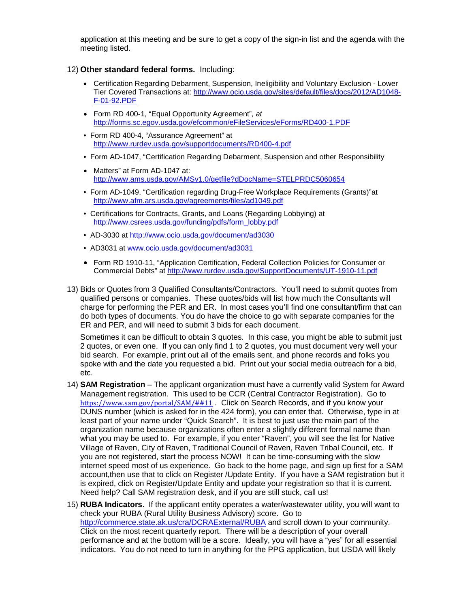application at this meeting and be sure to get a copy of the sign-in list and the agenda with the meeting listed.

#### 12) **Other standard federal forms.** Including:

- Certification Regarding Debarment, Suspension, Ineligibility and Voluntary Exclusion Lower Tier Covered Transactions at: [http://www.ocio.usda.gov/sites/default/files/docs/2012/AD1048-](http://www.ocio.usda.gov/sites/default/files/docs/2012/AD1048-F-01-92.PDF) [F-01-92.PDF](http://www.ocio.usda.gov/sites/default/files/docs/2012/AD1048-F-01-92.PDF)
- Form RD 400-1, "Equal Opportunity Agreement"*, at*  <http://forms.sc.egov.usda.gov/efcommon/eFileServices/eForms/RD400-1.PDF>
- Form RD 400-4, "Assurance Agreement" at <http://www.rurdev.usda.gov/supportdocuments/RD400-4.pdf>
- Form AD-1047, "Certification Regarding Debarment, Suspension and other Responsibility
- Matters" at Form AD-1047 at: <http://www.ams.usda.gov/AMSv1.0/getfile?dDocName=STELPRDC5060654>
- Form AD-1049, "Certification regarding Drug-Free Workplace Requirements (Grants)"at <http://www.afm.ars.usda.gov/agreements/files/ad1049.pdf>
- Certifications for Contracts, Grants, and Loans (Regarding Lobbying) at [http://www.csrees.usda.gov/funding/pdfs/form\\_lobby.pdf](http://www.csrees.usda.gov/funding/pdfs/form_lobby.pdf)
- AD-3030 at http://www.ocio.usda.gov/document/ad3030
- AD3031 at [www.ocio.usda.gov/document/ad3031](http://www.ocio.usda.gov/document/ad3031)
- Form RD 1910-11, "Application Certification, Federal Collection Policies for Consumer or Commercial Debts" at<http://www.rurdev.usda.gov/SupportDocuments/UT-1910-11.pdf>
- 13) Bids or Quotes from 3 Qualified Consultants/Contractors. You'll need to submit quotes from qualified persons or companies. These quotes/bids will list how much the Consultants will charge for performing the PER and ER. In most cases you'll find one consultant/firm that can do both types of documents. You do have the choice to go with separate companies for the ER and PER, and will need to submit 3 bids for each document.

Sometimes it can be difficult to obtain 3 quotes. In this case, you might be able to submit just 2 quotes, or even one. If you can only find 1 to 2 quotes, you must document very well your bid search. For example, print out all of the emails sent, and phone records and folks you spoke with and the date you requested a bid. Print out your social media outreach for a bid, etc.

- 14) **SAM Registration** The applicant organization must have a currently valid System for Award Management registration. This used to be CCR (Central Contractor Registration). Go to [https://www.sam.gov/portal/SAM/##11](https://www.sam.gov/portal/SAM/) . Click on Search Records, and if you know your DUNS number (which is asked for in the 424 form), you can enter that. Otherwise, type in at least part of your name under "Quick Search". It is best to just use the main part of the organization name because organizations often enter a slightly different formal name than what you may be used to. For example, if you enter "Raven", you will see the list for Native Village of Raven, City of Raven, Traditional Council of Raven, Raven Tribal Council, etc. If you are not registered, start the process NOW! It can be time-consuming with the slow internet speed most of us experience. Go back to the home page, and sign up first for a SAM account,then use that to click on Register /Update Entity. If you have a SAM registration but it is expired, click on Register/Update Entity and update your registration so that it is current. Need help? Call SAM registration desk, and if you are still stuck, call us!
- 15) **RUBA Indicators**. If the applicant entity operates a water/wastewater utility, you will want to check your RUBA (Rural Utility Business Advisory) score. Go to <http://commerce.state.ak.us/cra/DCRAExternal/RUBA> and scroll down to your community. Click on the most recent quarterly report. There will be a description of your overall performance and at the bottom will be a score. Ideally, you will have a "yes" for all essential indicators. You do not need to turn in anything for the PPG application, but USDA will likely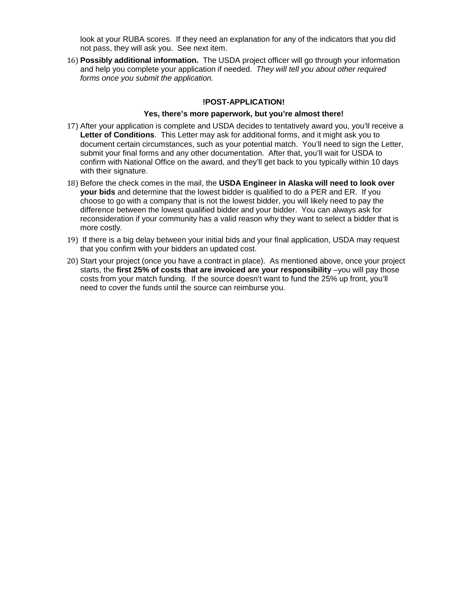look at your RUBA scores. If they need an explanation for any of the indicators that you did not pass, they will ask you. See next item.

16) **Possibly additional information.** The USDA project officer will go through your information and help you complete your application if needed. *They will tell you about other required forms once you submit the application.*

#### **!POST-APPLICATION!**

#### **Yes, there's more paperwork, but you're almost there!**

- 17) After your application is complete and USDA decides to tentatively award you, you'll receive a **Letter of Conditions**. This Letter may ask for additional forms, and it might ask you to document certain circumstances, such as your potential match. You'll need to sign the Letter, submit your final forms and any other documentation. After that, you'll wait for USDA to confirm with National Office on the award, and they'll get back to you typically within 10 days with their signature.
- 18) Before the check comes in the mail, the **USDA Engineer in Alaska will need to look over your bids** and determine that the lowest bidder is qualified to do a PER and ER. If you choose to go with a company that is not the lowest bidder, you will likely need to pay the difference between the lowest qualified bidder and your bidder. You can always ask for reconsideration if your community has a valid reason why they want to select a bidder that is more costly.
- 19) If there is a big delay between your initial bids and your final application, USDA may request that you confirm with your bidders an updated cost.
- 20) Start your project (once you have a contract in place). As mentioned above, once your project starts, the **first 25% of costs that are invoiced are your responsibility** –you will pay those costs from your match funding. If the source doesn't want to fund the 25% up front, you'll need to cover the funds until the source can reimburse you.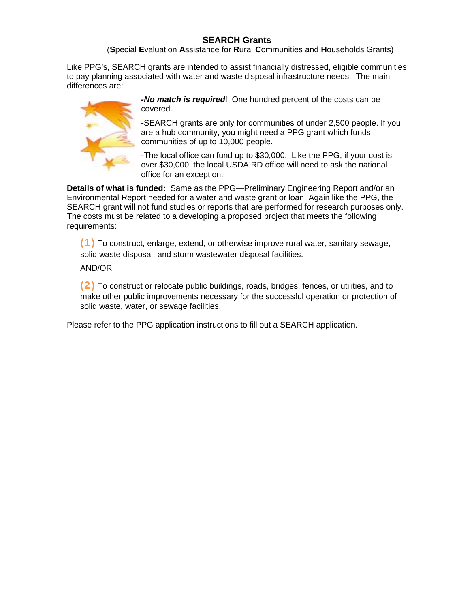## **SEARCH Grants**

(**S**pecial **E**valuation **A**ssistance for **R**ural **C**ommunities and **H**ouseholds Grants)

Like PPG's, SEARCH grants are intended to assist financially distressed, eligible communities to pay planning associated with water and waste disposal infrastructure needs. The main differences are:



*-No match is required*! One hundred percent of the costs can be covered.

-SEARCH grants are only for communities of under 2,500 people. If you are a hub community, you might need a PPG grant which funds communities of up to 10,000 people.

-The local office can fund up to \$30,000. Like the PPG, if your cost is over \$30,000, the local USDA RD office will need to ask the national office for an exception.

**Details of what is funded:** Same as the PPG—Preliminary Engineering Report and/or an Environmental Report needed for a water and waste grant or loan. Again like the PPG, the SEARCH grant will not fund studies or reports that are performed for research purposes only. The costs must be related to a developing a proposed project that meets the following requirements:

(1) To construct, enlarge, extend, or otherwise improve rural water, sanitary sewage, solid waste disposal, and storm wastewater disposal facilities.

AND/OR

(2) To construct or relocate public buildings, roads, bridges, fences, or utilities, and to make other public improvements necessary for the successful operation or protection of solid waste, water, or sewage facilities.

Please refer to the PPG application instructions to fill out a SEARCH application.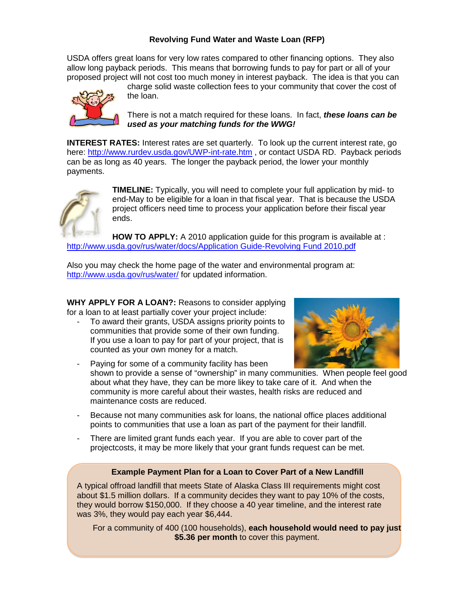## **Revolving Fund Water and Waste Loan (RFP)**

USDA offers great loans for very low rates compared to other financing options. They also allow long payback periods. This means that borrowing funds to pay for part or all of your proposed project will not cost too much money in interest payback. The idea is that you can



charge solid waste collection fees to your community that cover the cost of the loan.

There is not a match required for these loans. In fact, *these loans can be used as your matching funds for the WWG!* 

**INTEREST RATES:** Interest rates are set quarterly. To look up the current interest rate, go here:<http://www.rurdev.usda.gov/UWP-int-rate.htm> , or contact USDA RD. Payback periods can be as long as 40 years. The longer the payback period, the lower your monthly payments.



**TIMELINE:** Typically, you will need to complete your full application by mid- to end-May to be eligible for a loan in that fiscal year. That is because the USDA project officers need time to process your application before their fiscal year ends.

**HOW TO APPLY:** A 2010 application guide for this program is available at : [http://www.usda.gov/rus/water/docs/Application Guide-Revolving Fund 2010.pdf](http://www.usda.gov/rus/water/docs/Application%20Guide-Revolving%20Fund%202010.pdf)

Also you may check the home page of the water and environmental program at: <http://www.usda.gov/rus/water/> for updated information.

**WHY APPLY FOR A LOAN?:** Reasons to consider applying for a loan to at least partially cover your project include:

- To award their grants, USDA assigns priority points to communities that provide some of their own funding. If you use a loan to pay for part of your project, that is counted as your own money for a match.



- Paying for some of a community facility has been shown to provide a sense of "ownership" in many communities. When people feel good about what they have, they can be more likey to take care of it. And when the community is more careful about their wastes, health risks are reduced and maintenance costs are reduced.
- Because not many communities ask for loans, the national office places additional points to communities that use a loan as part of the payment for their landfill.
- There are limited grant funds each year. If you are able to cover part of the projectcosts, it may be more likely that your grant funds request can be met.

## **Example Payment Plan for a Loan to Cover Part of a New Landfill**

A typical offroad landfill that meets State of Alaska Class III requirements might cost about \$1.5 million dollars. If a community decides they want to pay 10% of the costs, they would borrow \$150,000. If they choose a 40 year timeline, and the interest rate was 3%, they would pay each year \$6,444.

For a community of 400 (100 households), **each household would need to pay just \$5.36 per month** to cover this payment.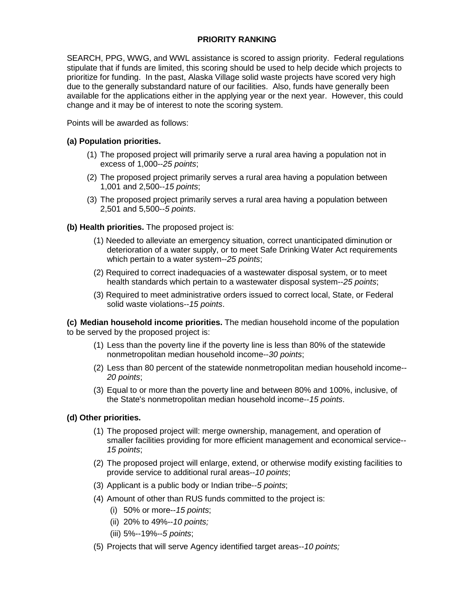## **PRIORITY RANKING**

SEARCH, PPG, WWG, and WWL assistance is scored to assign priority. Federal regulations stipulate that if funds are limited, this scoring should be used to help decide which projects to prioritize for funding. In the past, Alaska Village solid waste projects have scored very high due to the generally substandard nature of our facilities. Also, funds have generally been available for the applications either in the applying year or the next year. However, this could change and it may be of interest to note the scoring system.

Points will be awarded as follows:

#### **(a) Population priorities.**

- (1) The proposed project will primarily serve a rural area having a population not in excess of 1,000--*25 points*;
- (2) The proposed project primarily serves a rural area having a population between 1,001 and 2,500--*15 points*;
- (3) The proposed project primarily serves a rural area having a population between 2,501 and 5,500--*5 points*.

#### **(b) Health priorities.** The proposed project is:

- (1) Needed to alleviate an emergency situation, correct unanticipated diminution or deterioration of a water supply, or to meet Safe Drinking Water Act requirements which pertain to a water system--*25 points*;
- (2) Required to correct inadequacies of a wastewater disposal system, or to meet health standards which pertain to a wastewater disposal system--*25 points*;
- (3) Required to meet administrative orders issued to correct local, State, or Federal solid waste violations--*15 points*.

**(c) Median household income priorities.** The median household income of the population to be served by the proposed project is:

- (1) Less than the poverty line if the poverty line is less than 80% of the statewide nonmetropolitan median household income--*30 points*;
- (2) Less than 80 percent of the statewide nonmetropolitan median household income-- *20 points*;
- (3) Equal to or more than the poverty line and between 80% and 100%, inclusive, of the State's nonmetropolitan median household income--*15 points*.

#### **(d) Other priorities.**

- (1) The proposed project will: merge ownership, management, and operation of smaller facilities providing for more efficient management and economical service-- *15 points*;
- (2) The proposed project will enlarge, extend, or otherwise modify existing facilities to provide service to additional rural areas--*10 points*;
- (3) Applicant is a public body or Indian tribe--*5 points*;
- (4) Amount of other than RUS funds committed to the project is:
	- (i) 50% or more--*15 points*;
	- (ii) 20% to 49%--*10 points;*
	- (iii) 5%--19%--*5 points*;
- (5) Projects that will serve Agency identified target areas--*10 points;*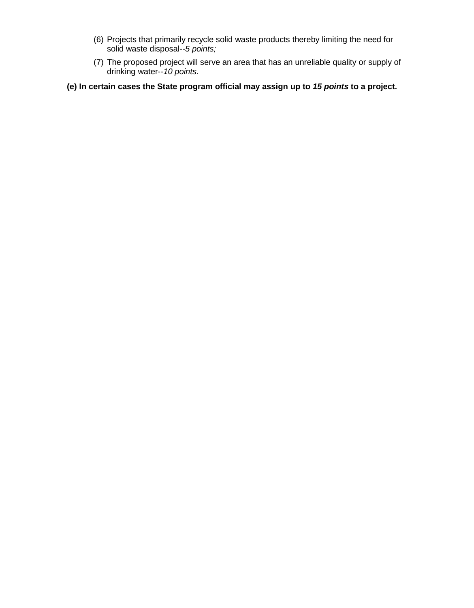- (6) Projects that primarily recycle solid waste products thereby limiting the need for solid waste disposal--*5 points;*
- (7) The proposed project will serve an area that has an unreliable quality or supply of drinking water--*10 points.*
- **(e) In certain cases the State program official may assign up to** *15 points* **to a project.**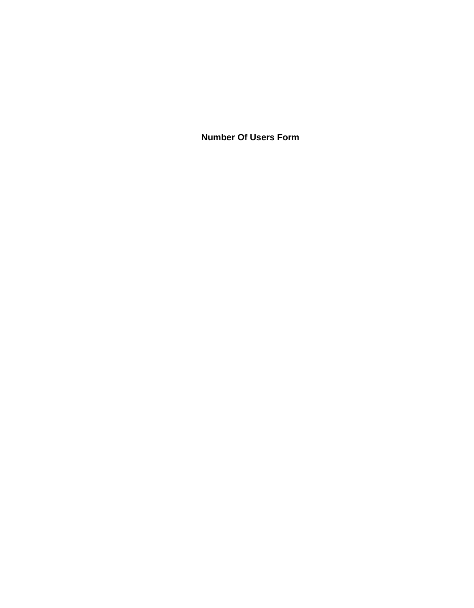**Number Of Users Form**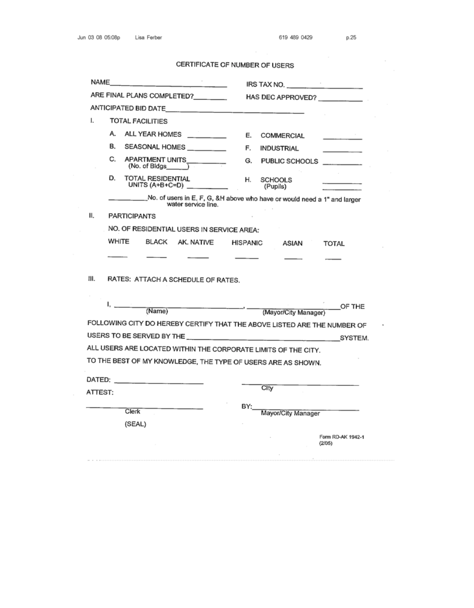$\sim$ 

 $\bar{z}$ 

٠

CERTIFICATE OF NUMBER OF USERS

| NAME                       |                                           |                                               |                 | IRS TAX NO.<br>and the company of                                             |                             |  |  |  |
|----------------------------|-------------------------------------------|-----------------------------------------------|-----------------|-------------------------------------------------------------------------------|-----------------------------|--|--|--|
| ARE FINAL PLANS COMPLETED? |                                           |                                               |                 | HAS DEC APPROVED?                                                             |                             |  |  |  |
|                            |                                           | ANTICIPATED BID DATE                          |                 |                                                                               |                             |  |  |  |
| ı.                         | <b>TOTAL FACILITIES</b>                   |                                               |                 |                                                                               |                             |  |  |  |
|                            | А.                                        | ALL YEAR HOMES _______                        | Е.              | COMMERCIAL                                                                    | the company of the          |  |  |  |
|                            | В.                                        | SEASONAL HOMES _________                      | F.              | INDUSTRIAL                                                                    | the company of the          |  |  |  |
|                            | C.                                        | APARTMENT UNITS_________<br>(No. of Bldgs)    | G.              | PUBLIC SCHOOLS _________                                                      |                             |  |  |  |
|                            | D.                                        | <b>TOTAL RESIDENTIAL</b><br>UNITS $(A+B+C=D)$ | Н.              | SCHOOLS<br>(Pupils)                                                           |                             |  |  |  |
|                            |                                           | water service line.                           |                 | _____No. of users in E, F, G, &H above who have or would need a 1" and larger |                             |  |  |  |
| 11.                        |                                           |                                               |                 |                                                                               |                             |  |  |  |
|                            | NO. OF RESIDENTIAL USERS IN SERVICE AREA: |                                               |                 |                                                                               |                             |  |  |  |
|                            | WHITE                                     | BLACK AK. NATIVE                              | <b>HISPANIC</b> | ASIAN                                                                         | TOTAL                       |  |  |  |
|                            |                                           |                                               |                 |                                                                               |                             |  |  |  |
| Ш.                         |                                           | RATES: ATTACH A SCHEDULE OF RATES.            |                 |                                                                               |                             |  |  |  |
|                            | ı. <sub>.</sub>                           | (Name)                                        |                 | (Mayor/City Manager)                                                          | OF THE                      |  |  |  |
|                            |                                           |                                               |                 | FOLLOWING CITY DO HEREBY CERTIFY THAT THE ABOVE LISTED ARE THE NUMBER OF      |                             |  |  |  |
|                            |                                           |                                               |                 |                                                                               |                             |  |  |  |
|                            |                                           |                                               |                 | ALL USERS ARE LOCATED WITHIN THE CORPORATE LIMITS OF THE CITY.                |                             |  |  |  |
|                            |                                           |                                               |                 | TO THE BEST OF MY KNOWLEDGE, THE TYPE OF USERS ARE AS SHOWN.                  |                             |  |  |  |
|                            |                                           |                                               |                 |                                                                               |                             |  |  |  |
| ATTEST:                    |                                           |                                               |                 | City                                                                          |                             |  |  |  |
|                            |                                           |                                               | BY:             |                                                                               |                             |  |  |  |
|                            | Clerk                                     |                                               |                 | Mayor/City Manager                                                            |                             |  |  |  |
|                            | (SEAL)                                    |                                               |                 |                                                                               |                             |  |  |  |
|                            |                                           |                                               |                 |                                                                               | Form RD-AK 1942-1<br>(2/05) |  |  |  |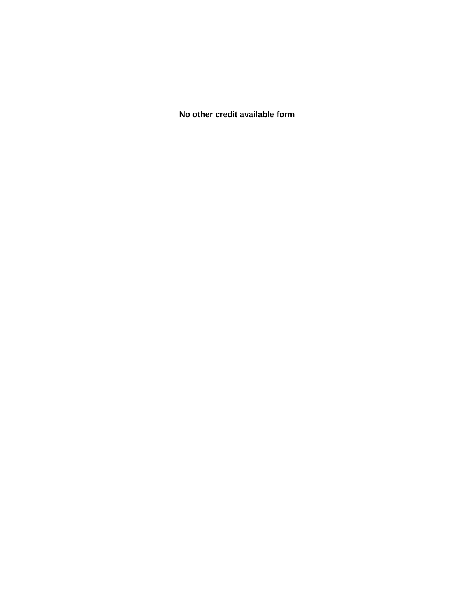**No other credit available form**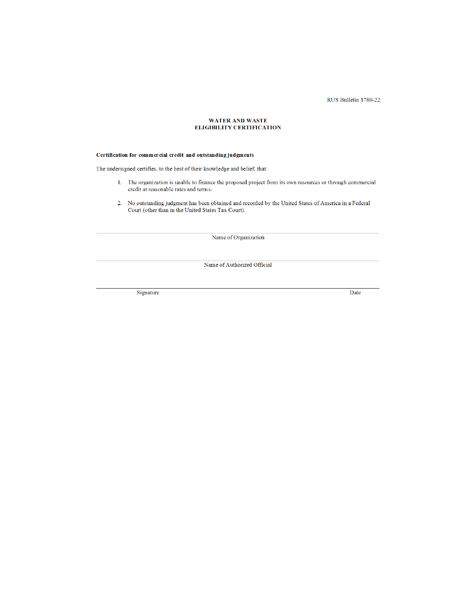RUS Bulletin 1780-22

#### WATER AND WASTE **ELIGIBILITY CERTIFICATION**

#### Certification for commercial credit and outstanding judgments

The undersigned certifies, to the best of their knowledge and belief, that:

- 1. The organization is unable to finance the proposed project from its own resources or through commercial credit at reasonable rates and terms.
- No outstanding judgment has been obtained and recorded by the United States of America in a Federal Court (other than in the United States Tax Court).  $2.$

Name of Organization

Name of Authorized Official

Signature

Date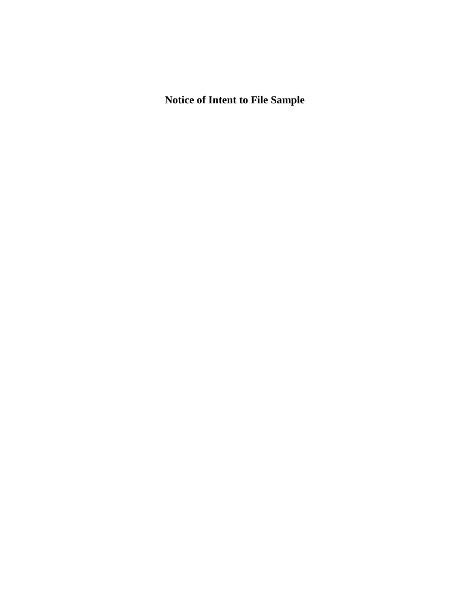**Notice of Intent to File Sample**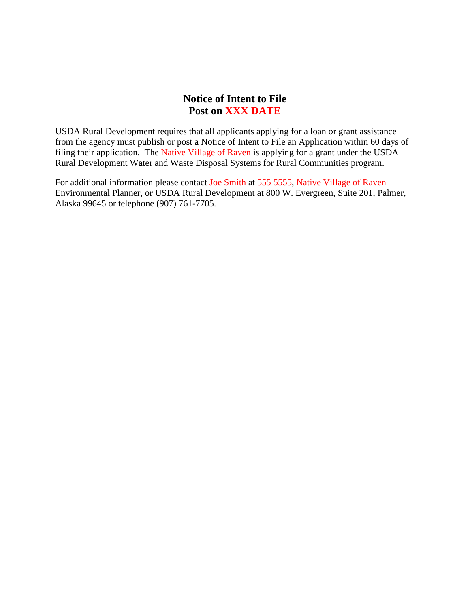## **Notice of Intent to File Post on XXX DATE**

USDA Rural Development requires that all applicants applying for a loan or grant assistance from the agency must publish or post a Notice of Intent to File an Application within 60 days of filing their application. The Native Village of Raven is applying for a grant under the USDA Rural Development Water and Waste Disposal Systems for Rural Communities program.

For additional information please contact Joe Smith at 555 5555, Native Village of Raven Environmental Planner, or USDA Rural Development at 800 W. Evergreen, Suite 201, Palmer, Alaska 99645 or telephone (907) 761-7705.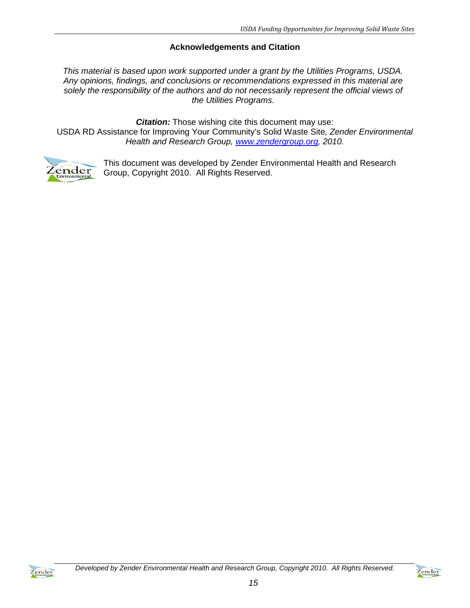## **Acknowledgements and Citation**

*This material is based upon work supported under a grant by the Utilities Programs, USDA. Any opinions, findings, and conclusions or recommendations expressed in this material are solely the responsibility of the authors and do not necessarily represent the official views of the Utilities Programs.*

*Citation:* Those wishing cite this document may use:

USDA RD Assistance for Improving Your Community's Solid Waste Site*, Zender Environmental Health and Research Group, [www.zendergroup.org,](http://www.zendergroup.org/) 2010.*



This document was developed by Zender Environmental Health and Research Group, Copyright 2010. All Rights Reserved.



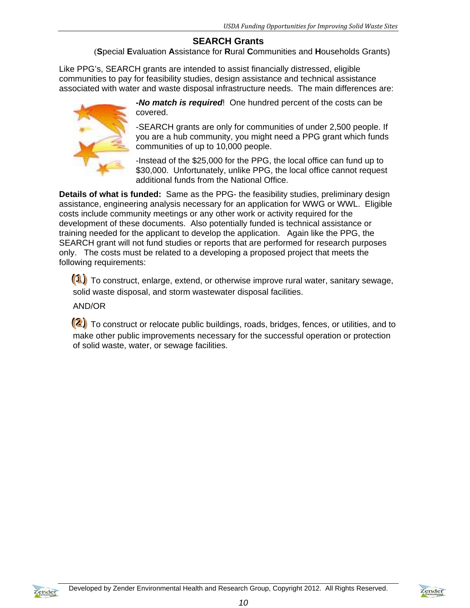## **SEARCH Grants**

(**S**pecial **E**valuation **A**ssistance for **R**ural **C**ommunities and **H**ouseholds Grants)

Like PPG's, SEARCH grants are intended to assist financially distressed, eligible communities to pay for feasibility studies, design assistance and technical assistance associated with water and waste disposal infrastructure needs. The main differences are:



*-No match is required*! One hundred percent of the costs can be covered.

-SEARCH grants are only for communities of under 2,500 people. If you are a hub community, you might need a PPG grant which funds communities of up to 10,000 people.

-Instead of the \$25,000 for the PPG, the local office can fund up to \$30,000. Unfortunately, unlike PPG, the local office cannot request additional funds from the National Office.

**Details of what is funded:** Same as the PPG- the feasibility studies, preliminary design assistance, engineering analysis necessary for an application for WWG or WWL. Eligible costs include community meetings or any other work or activity required for the development of these documents. Also potentially funded is technical assistance or training needed for the applicant to develop the application. Again like the PPG, the SEARCH grant will not fund studies or reports that are performed for research purposes only. The costs must be related to a developing a proposed project that meets the following requirements:

(1) To construct, enlarge, extend, or otherwise improve rural water, sanitary sewage, solid waste disposal, and storm wastewater disposal facilities.

## AND/OR

(2) To construct or relocate public buildings, roads, bridges, fences, or utilities, and to make other public improvements necessary for the successful operation or protection of solid waste, water, or sewage facilities.

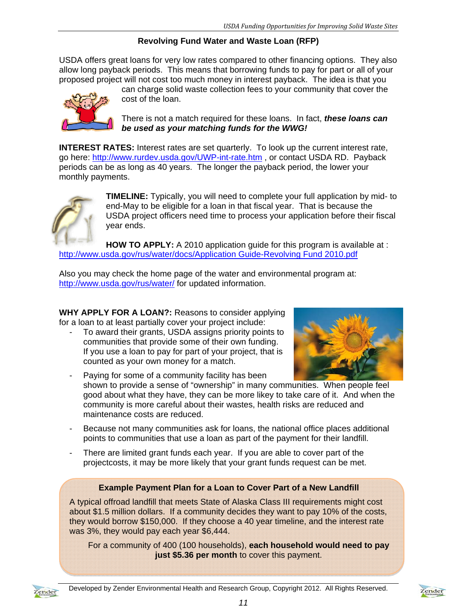## **Revolving Fund Water and Waste Loan (RFP)**

USDA offers great loans for very low rates compared to other financing options. They also allow long payback periods. This means that borrowing funds to pay for part or all of your proposed project will not cost too much money in interest payback. The idea is that you



can charge solid waste collection fees to your community that cover the cost of the loan.

There is not a match required for these loans. In fact, *these loans can be used as your matching funds for the WWG!* 

**INTEREST RATES:** Interest rates are set quarterly. To look up the current interest rate, go here: http://www.rurdev.usda.gov/UWP-int-rate.htm , or contact USDA RD. Payback periods can be as long as 40 years. The longer the payback period, the lower your monthly payments.



**TIMELINE:** Typically, you will need to complete your full application by mid- to end-May to be eligible for a loan in that fiscal year. That is because the USDA project officers need time to process your application before their fiscal year ends.

**HOW TO APPLY:** A 2010 application guide for this program is available at : http://www.usda.gov/rus/water/docs/Application Guide-Revolving Fund 2010.pdf

Also you may check the home page of the water and environmental program at: http://www.usda.gov/rus/water/ for updated information.

**WHY APPLY FOR A LOAN?:** Reasons to consider applying for a loan to at least partially cover your project include:

To award their grants, USDA assigns priority points to communities that provide some of their own funding. If you use a loan to pay for part of your project, that is counted as your own money for a match.



- Paying for some of a community facility has been shown to provide a sense of "ownership" in many communities. When people feel good about what they have, they can be more likey to take care of it. And when the community is more careful about their wastes, health risks are reduced and maintenance costs are reduced.
- Because not many communities ask for loans, the national office places additional points to communities that use a loan as part of the payment for their landfill.
- There are limited grant funds each year. If you are able to cover part of the projectcosts, it may be more likely that your grant funds request can be met.

## **Example Payment Plan for a Loan to Cover Part of a New Landfill**

A typical offroad landfill that meets State of Alaska Class III requirements might cost about \$1.5 million dollars. If a community decides they want to pay 10% of the costs, they would borrow \$150,000. If they choose a 40 year timeline, and the interest rate was 3%, they would pay each year \$6,444.

For a community of 400 (100 households), **each household would need to pay just \$5.36 per month** to cover this payment.



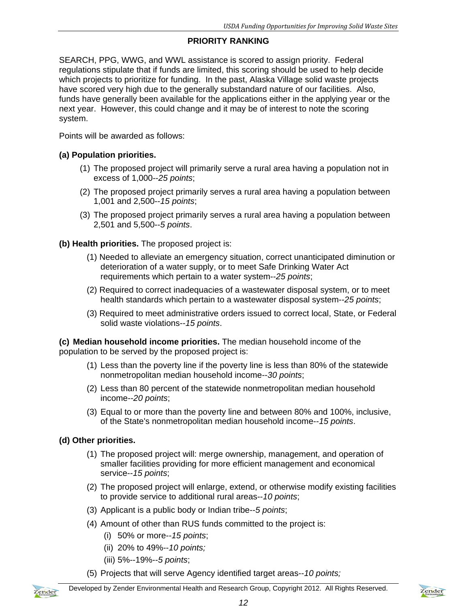## **PRIORITY RANKING**

SEARCH, PPG, WWG, and WWL assistance is scored to assign priority. Federal regulations stipulate that if funds are limited, this scoring should be used to help decide which projects to prioritize for funding. In the past, Alaska Village solid waste projects have scored very high due to the generally substandard nature of our facilities. Also, funds have generally been available for the applications either in the applying year or the next year. However, this could change and it may be of interest to note the scoring system.

Points will be awarded as follows:

## **(a) Population priorities.**

- (1) The proposed project will primarily serve a rural area having a population not in excess of 1,000--*25 points*;
- (2) The proposed project primarily serves a rural area having a population between 1,001 and 2,500--*15 points*;
- (3) The proposed project primarily serves a rural area having a population between 2,501 and 5,500--*5 points*.

## **(b) Health priorities.** The proposed project is:

- (1) Needed to alleviate an emergency situation, correct unanticipated diminution or deterioration of a water supply, or to meet Safe Drinking Water Act requirements which pertain to a water system--*25 points*;
- (2) Required to correct inadequacies of a wastewater disposal system, or to meet health standards which pertain to a wastewater disposal system--*25 points*;
- (3) Required to meet administrative orders issued to correct local, State, or Federal solid waste violations--*15 points*.

**(c) Median household income priorities.** The median household income of the population to be served by the proposed project is:

- (1) Less than the poverty line if the poverty line is less than 80% of the statewide nonmetropolitan median household income--*30 points*;
- (2) Less than 80 percent of the statewide nonmetropolitan median household income--*20 points*;
- (3) Equal to or more than the poverty line and between 80% and 100%, inclusive, of the State's nonmetropolitan median household income--*15 points*.

## **(d) Other priorities.**

- (1) The proposed project will: merge ownership, management, and operation of smaller facilities providing for more efficient management and economical service--*15 points*;
- (2) The proposed project will enlarge, extend, or otherwise modify existing facilities to provide service to additional rural areas--*10 points*;
- (3) Applicant is a public body or Indian tribe--*5 points*;
- (4) Amount of other than RUS funds committed to the project is:
	- (i) 50% or more--*15 points*;
	- (ii) 20% to 49%--*10 points;*
	- (iii) 5%--19%--*5 points*;
- (5) Projects that will serve Agency identified target areas--*10 points;*

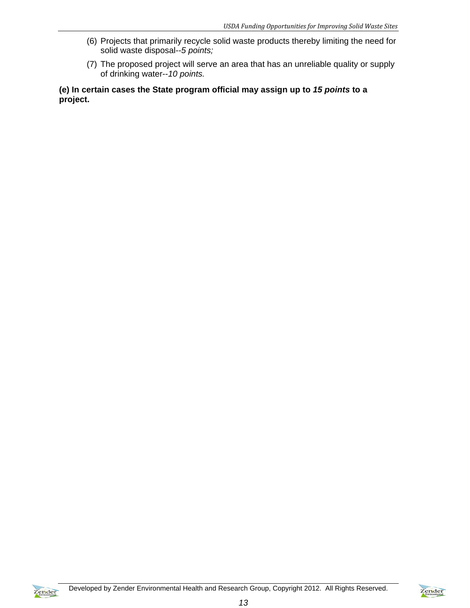- (6) Projects that primarily recycle solid waste products thereby limiting the need for solid waste disposal--*5 points;*
- (7) The proposed project will serve an area that has an unreliable quality or supply of drinking water--*10 points.*

**(e) In certain cases the State program official may assign up to** *15 points* **to a project.** 

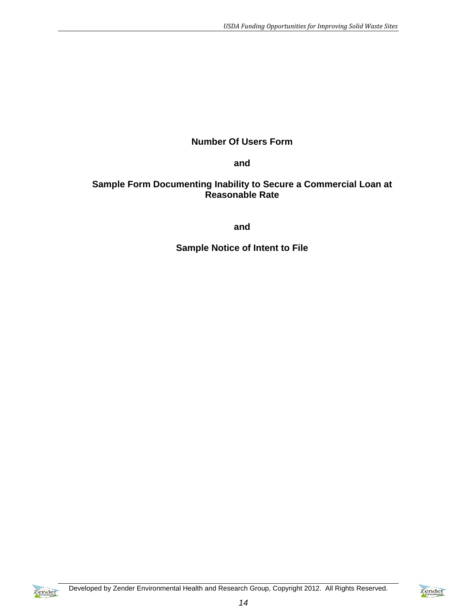## **Number Of Users Form**

**and** 

## **Sample Form Documenting Inability to Secure a Commercial Loan at Reasonable Rate**

**and** 

**Sample Notice of Intent to File** 



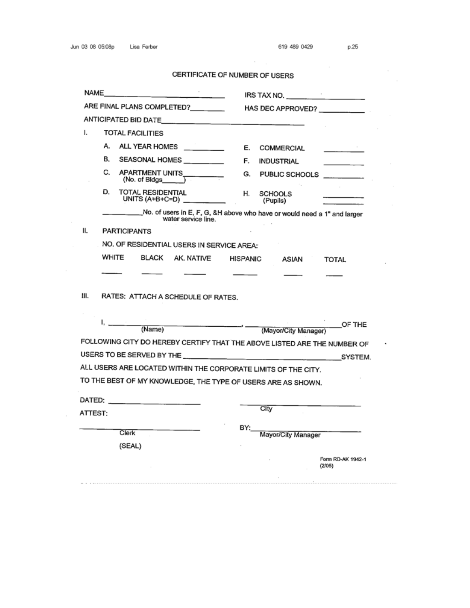## CERTIFICATE OF NUMBER OF USERS

 $\epsilon = \pm$ 

|         | NAME                                                           | IRS TAX NO.                                                              |  |  |  |  |  |
|---------|----------------------------------------------------------------|--------------------------------------------------------------------------|--|--|--|--|--|
|         | ARE FINAL PLANS COMPLETED?                                     | HAS DEC APPROVED? __________                                             |  |  |  |  |  |
|         |                                                                |                                                                          |  |  |  |  |  |
| I.      | <b>TOTAL FACILITIES</b>                                        |                                                                          |  |  |  |  |  |
|         | А.<br>ALL YEAR HOMES _______                                   | Е.<br>COMMERCIAL                                                         |  |  |  |  |  |
|         | В.<br>SEASONAL HOMES ________                                  | F.<br>INDUSTRIAL                                                         |  |  |  |  |  |
|         | C.<br>APARTMENT UNITS__________<br>$(No. of Bldgs$ $)$         | G.<br>PUBLIC SCHOOLS _________                                           |  |  |  |  |  |
|         | D.<br>TOTAL RESIDENTIAL<br>UNITS $(A+B+C=D)$                   | Н.<br><b>SCHOOLS</b><br>(Pupils)                                         |  |  |  |  |  |
|         | water service line.                                            | No. of users in E, F, G, &H above who have or would need a 1" and larger |  |  |  |  |  |
| 11.     | <b>PARTICIPANTS</b>                                            |                                                                          |  |  |  |  |  |
|         | NO. OF RESIDENTIAL USERS IN SERVICE AREA:                      |                                                                          |  |  |  |  |  |
|         |                                                                |                                                                          |  |  |  |  |  |
|         | WHITE<br>BLACK AK. NATIVE                                      | HISPANIC<br>ASIAN<br><b>TOTAL</b>                                        |  |  |  |  |  |
|         | RATES: ATTACH A SCHEDULE OF RATES.                             |                                                                          |  |  |  |  |  |
|         | Ι.<br>(Name)                                                   | OF THE<br>(Mayor/City Manager)                                           |  |  |  |  |  |
|         |                                                                | FOLLOWING CITY DO HEREBY CERTIFY THAT THE ABOVE LISTED ARE THE NUMBER OF |  |  |  |  |  |
|         |                                                                | SYSTEM.                                                                  |  |  |  |  |  |
|         | ALL USERS ARE LOCATED WITHIN THE CORPORATE LIMITS OF THE CITY. |                                                                          |  |  |  |  |  |
| Ш.      | TO THE BEST OF MY KNOWLEDGE, THE TYPE OF USERS ARE AS SHOWN.   |                                                                          |  |  |  |  |  |
|         |                                                                |                                                                          |  |  |  |  |  |
|         |                                                                | City                                                                     |  |  |  |  |  |
| ATTEST: |                                                                |                                                                          |  |  |  |  |  |
|         | <b>Clerk</b>                                                   | BY:<br>Mayor/City Manager                                                |  |  |  |  |  |
|         | (SEAL)                                                         |                                                                          |  |  |  |  |  |

 $\sim$ 

 $\sim$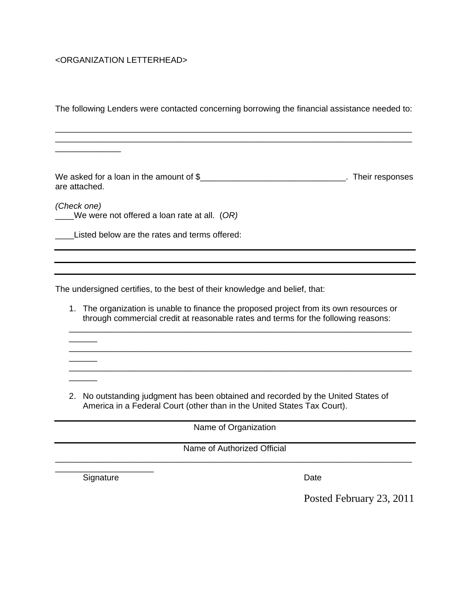## <ORGANIZATION LETTERHEAD>

\_\_\_\_\_\_\_\_\_\_\_\_\_\_

 $\overline{\phantom{a}}$ 

 $\overline{\phantom{a}}$ 

 $\overline{\phantom{a}}$ 

The following Lenders were contacted concerning borrowing the financial assistance needed to:

\_\_\_\_\_\_\_\_\_\_\_\_\_\_\_\_\_\_\_\_\_\_\_\_\_\_\_\_\_\_\_\_\_\_\_\_\_\_\_\_\_\_\_\_\_\_\_\_\_\_\_\_\_\_\_\_\_\_\_\_\_\_\_\_\_\_\_\_\_\_\_\_\_\_\_\_ \_\_\_\_\_\_\_\_\_\_\_\_\_\_\_\_\_\_\_\_\_\_\_\_\_\_\_\_\_\_\_\_\_\_\_\_\_\_\_\_\_\_\_\_\_\_\_\_\_\_\_\_\_\_\_\_\_\_\_\_\_\_\_\_\_\_\_\_\_\_\_\_\_\_\_\_

We asked for a loan in the amount of \$\_\_\_\_\_\_\_\_\_\_\_\_\_\_\_\_\_\_\_\_\_\_\_\_\_\_\_\_\_\_\_\_\_. Their responses are attached.

*(Check one)*  \_\_\_\_We were not offered a loan rate at all. (*OR)*

\_\_\_\_Listed below are the rates and terms offered:

The undersigned certifies, to the best of their knowledge and belief, that:

 $\overline{\phantom{a}}$  , and the set of the set of the set of the set of the set of the set of the set of the set of the set of the set of the set of the set of the set of the set of the set of the set of the set of the set of the s

1. The organization is unable to finance the proposed project from its own resources or through commercial credit at reasonable rates and terms for the following reasons:

\_\_\_\_\_\_\_\_\_\_\_\_\_\_\_\_\_\_\_\_\_\_\_\_\_\_\_\_\_\_\_\_\_\_\_\_\_\_\_\_\_\_\_\_\_\_\_\_\_\_\_\_\_\_\_\_\_\_\_\_\_\_\_\_\_\_\_\_\_\_\_\_\_

 $\overline{a_1}$  ,  $\overline{a_2}$  ,  $\overline{a_3}$  ,  $\overline{a_4}$  ,  $\overline{a_5}$  ,  $\overline{a_6}$  ,  $\overline{a_7}$  ,  $\overline{a_8}$  ,  $\overline{a_9}$  ,  $\overline{a_9}$  ,  $\overline{a_9}$  ,  $\overline{a_9}$  ,  $\overline{a_9}$  ,  $\overline{a_9}$  ,  $\overline{a_9}$  ,  $\overline{a_9}$  ,  $\overline{a_9}$  ,

2. No outstanding judgment has been obtained and recorded by the United States of America in a Federal Court (other than in the United States Tax Court).

Name of Organization

Name of Authorized Official \_\_\_\_\_\_\_\_\_\_\_\_\_\_\_\_\_\_\_\_\_\_\_\_\_\_\_\_\_\_\_\_\_\_\_\_\_\_\_\_\_\_\_\_\_\_\_\_\_\_\_\_\_\_\_\_\_\_\_\_\_\_\_\_\_\_\_\_\_\_\_\_\_\_\_\_

\_\_\_\_\_\_\_\_\_\_\_\_\_\_\_\_\_\_\_\_\_ Signature Date

Posted February 23, 2011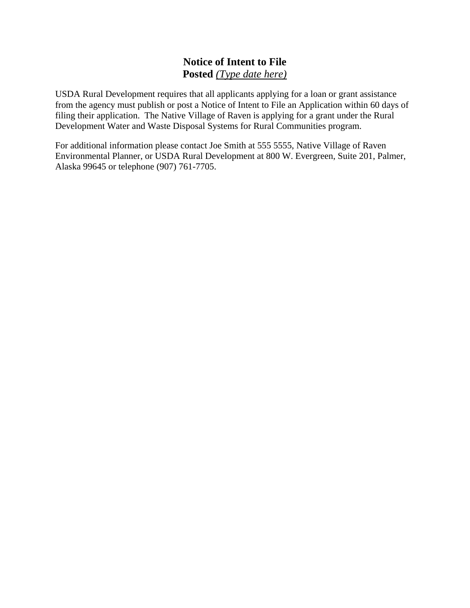# **Notice of Intent to File Posted** *(Type date here)*

USDA Rural Development requires that all applicants applying for a loan or grant assistance from the agency must publish or post a Notice of Intent to File an Application within 60 days of filing their application. The Native Village of Raven is applying for a grant under the Rural Development Water and Waste Disposal Systems for Rural Communities program.

For additional information please contact Joe Smith at 555 5555, Native Village of Raven Environmental Planner, or USDA Rural Development at 800 W. Evergreen, Suite 201, Palmer, Alaska 99645 or telephone (907) 761-7705.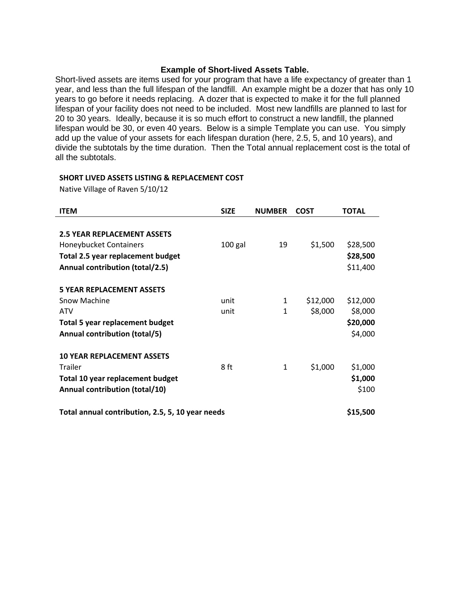#### **Example of Short-lived Assets Table.**

Short-lived assets are items used for your program that have a life expectancy of greater than 1 year, and less than the full lifespan of the landfill. An example might be a dozer that has only 10 years to go before it needs replacing. A dozer that is expected to make it for the full planned lifespan of your facility does not need to be included. Most new landfills are planned to last for 20 to 30 years. Ideally, because it is so much effort to construct a new landfill, the planned lifespan would be 30, or even 40 years. Below is a simple Template you can use. You simply add up the value of your assets for each lifespan duration (here, 2.5, 5, and 10 years), and divide the subtotals by the time duration. Then the Total annual replacement cost is the total of all the subtotals.

#### **SHORT LIVED ASSETS LISTING & REPLACEMENT COST**

Native Village of Raven 5/10/12

| <b>ITEM</b>                                      | <b>SIZE</b> | <b>NUMBER</b> | <b>COST</b> | <b>TOTAL</b> |
|--------------------------------------------------|-------------|---------------|-------------|--------------|
|                                                  |             |               |             |              |
| <b>2.5 YEAR REPLACEMENT ASSETS</b>               |             |               |             |              |
| Honeybucket Containers                           | $100$ gal   | 19            | \$1,500     | \$28,500     |
| Total 2.5 year replacement budget                |             |               |             | \$28,500     |
| Annual contribution (total/2.5)                  |             |               |             | \$11,400     |
| <b>5 YEAR REPLACEMENT ASSETS</b>                 |             |               |             |              |
| Snow Machine                                     | unit        | 1             | \$12,000    | \$12,000     |
| <b>ATV</b>                                       | unit        | 1             | \$8,000     | \$8,000      |
| <b>Total 5 year replacement budget</b>           |             |               |             | \$20,000     |
| Annual contribution (total/5)                    |             |               |             | \$4,000      |
| <b>10 YEAR REPLACEMENT ASSETS</b>                |             |               |             |              |
| <b>Trailer</b>                                   | 8 ft        | 1             | \$1,000     | \$1,000      |
| Total 10 year replacement budget                 |             |               |             | \$1,000      |
| Annual contribution (total/10)                   |             |               |             | \$100        |
| Total annual contribution, 2.5, 5, 10 year needs |             |               |             |              |